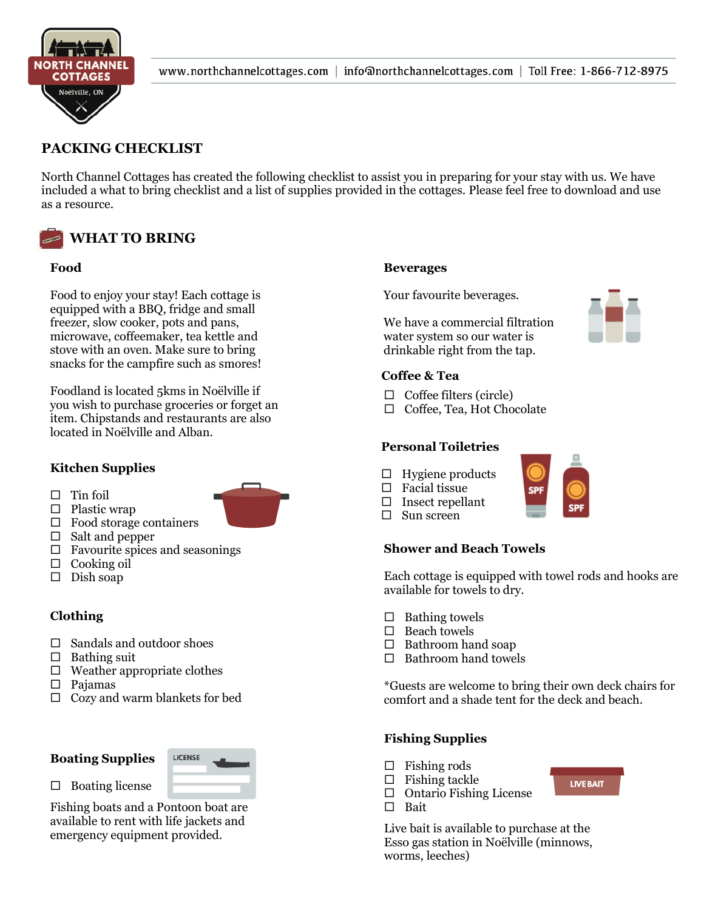

# **PACKING CHECKLIST**

North Channel Cottages has created the following checklist to assist you in preparing for your stay with us. We have included a what to bring checklist and a list of supplies provided in the cottages. Please feel free to download and use as a resource.



#### **Food**  $\mathbf{p}_0$  to enjoy your stay  $\mathbf{p}_1$

Food to enjoy your stay! Each cottage is equipped with a BBQ, fridge and small freezer, slow cooker, pots and pans, microwave, coffeemaker, tea kettle and stove with an oven. Make sure to bring snacks for the campfire such as smores!

Foodland is located 5kms in Noëlville if you wish to purchase groceries or forget an purchase groceries or forget item. Chipstands and restaurants are also located in Noëlville and Alban.

#### **Kitchen Supplies**  $\overline{C}$  Catholic Church and the Gasser  $\mathbf{c}$ nen  $\mathbf{s}$

- $\Box$  Tin foil
- $\Box$  Plastic wrap
- $\Box$  Food storage containers
- $\Box$  Salt and pepper
- $\Box$  Favourite spices and seasonings
- $\Box$  Cooking oil
- $\square$  Dish soap

## **Clothing**

- $\Box$  Sandals and outdoor shoes
- $\Box$  Bathing suit
- $\square$  Weather appropriate clothes
- Pajamas
- $\Box$  Cozy and warm blankets for bed

## **Boating Supplies**



## $\Box$  Boating license

Fishing boats and a Pontoon boat are available to rent with life jackets and emergency equipment provided.

## **Beverages**

Your favourite beverages.

We have a commercial filtration water system so our water is drinkable right from the tap.

## **Coffee & Tea**

- $\Box$  Coffee filters (circle)
- □ Coffee, Tea, Hot Chocolate

## **Personal Toiletries**

- $\Box$  Hygiene products
- $\Box$  Facial tissue
- $\square$  Insect repellant
- $\Box$  Sun screen

## **Shower and Beach Towels**

Each cottage is equipped with towel rods and hooks are available for towels to dry.

- $\Box$  Bathing towels
- $\Box$  Beach towels
- $\Box$  Bathroom hand soap
- $\Box$  Bathroom hand towels

\*Guests are welcome to bring their own deck chairs for comfort and a shade tent for the deck and beach.

**LIVE BAIT** 

## **Fishing Supplies**

- $\Box$  Fishing rods
- $\Box$  Fishing tackle
- $\Box$  Ontario Fishing License
- □ Bait

Live bait is available to purchase at the Esso gas station in Noëlville (minnows, worms, leeches)